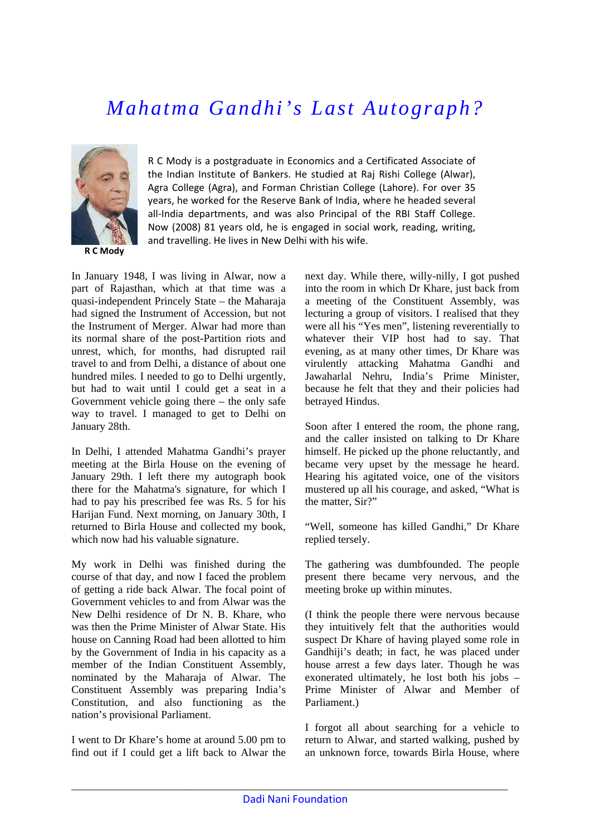## *Mahatma Gandhi's Last Autograph?*



**R C Mody**

R C Mody is a postgraduate in Economics and a Certificated Associate of the Indian Institute of Bankers. He studied at Raj Rishi College (Alwar), Agra College (Agra), and Forman Christian College (Lahore). For over 35 years, he worked for the Reserve Bank of India, where he headed several all-India departments, and was also Principal of the RBI Staff College. Now (2008) 81 years old, he is engaged in social work, reading, writing, and travelling. He lives in New Delhi with his wife.

In January 1948, I was living in Alwar, now a part of Rajasthan, which at that time was a quasi-independent Princely State – the Maharaja had signed the Instrument of Accession, but not the Instrument of Merger. Alwar had more than its normal share of the post-Partition riots and unrest, which, for months, had disrupted rail travel to and from Delhi, a distance of about one hundred miles. I needed to go to Delhi urgently, but had to wait until I could get a seat in a Government vehicle going there – the only safe way to travel. I managed to get to Delhi on January 28th.

In Delhi, I attended Mahatma Gandhi's prayer meeting at the Birla House on the evening of January 29th. I left there my autograph book there for the Mahatma's signature, for which I had to pay his prescribed fee was Rs. 5 for his Harijan Fund. Next morning, on January 30th, I returned to Birla House and collected my book, which now had his valuable signature.

My work in Delhi was finished during the course of that day, and now I faced the problem of getting a ride back Alwar. The focal point of Government vehicles to and from Alwar was the New Delhi residence of Dr N. B. Khare, who was then the Prime Minister of Alwar State. His house on Canning Road had been allotted to him by the Government of India in his capacity as a member of the Indian Constituent Assembly, nominated by the Maharaja of Alwar. The Constituent Assembly was preparing India's Constitution, and also functioning as the nation's provisional Parliament.

I went to Dr Khare's home at around 5.00 pm to find out if I could get a lift back to Alwar the

next day. While there, willy-nilly, I got pushed into the room in which Dr Khare, just back from a meeting of the Constituent Assembly, was lecturing a group of visitors. I realised that they were all his "Yes men", listening reverentially to whatever their VIP host had to say. That evening, as at many other times, Dr Khare was virulently attacking Mahatma Gandhi and Jawaharlal Nehru, India's Prime Minister, because he felt that they and their policies had betrayed Hindus.

Soon after I entered the room, the phone rang, and the caller insisted on talking to Dr Khare himself. He picked up the phone reluctantly, and became very upset by the message he heard. Hearing his agitated voice, one of the visitors mustered up all his courage, and asked, "What is the matter, Sir?"

"Well, someone has killed Gandhi," Dr Khare replied tersely.

The gathering was dumbfounded. The people present there became very nervous, and the meeting broke up within minutes.

(I think the people there were nervous because they intuitively felt that the authorities would suspect Dr Khare of having played some role in Gandhiji's death; in fact, he was placed under house arrest a few days later. Though he was exonerated ultimately, he lost both his jobs – Prime Minister of Alwar and Member of Parliament.)

I forgot all about searching for a vehicle to return to Alwar, and started walking, pushed by an unknown force, towards Birla House, where